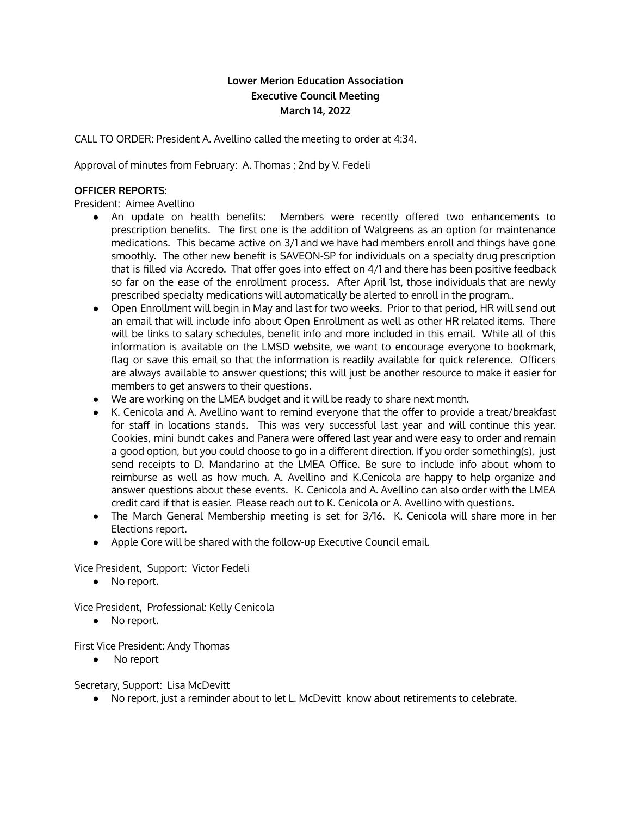# **Lower Merion Education Association Executive Council Meeting March 14, 2022**

CALL TO ORDER: President A. Avellino called the meeting to order at 4:34.

Approval of minutes from February: A. Thomas ; 2nd by V. Fedeli

### **OFFICER REPORTS:**

President: Aimee Avellino

- An update on health benefits: Members were recently offered two enhancements to prescription benefits. The first one is the addition of Walgreens as an option for maintenance medications. This became active on 3/1 and we have had members enroll and things have gone smoothly. The other new benefit is SAVEON-SP for individuals on a specialty drug prescription that is filled via Accredo. That offer goes into effect on 4/1 and there has been positive feedback so far on the ease of the enrollment process. After April 1st, those individuals that are newly prescribed specialty medications will automatically be alerted to enroll in the program..
- Open Enrollment will begin in May and last for two weeks. Prior to that period, HR will send out an email that will include info about Open Enrollment as well as other HR related items. There will be links to salary schedules, benefit info and more included in this email. While all of this information is available on the LMSD website, we want to encourage everyone to bookmark, flag or save this email so that the information is readily available for quick reference. Officers are always available to answer questions; this will just be another resource to make it easier for members to get answers to their questions.
- We are working on the LMEA budget and it will be ready to share next month.
- K. Cenicola and A. Avellino want to remind everyone that the offer to provide a treat/breakfast for staff in locations stands. This was very successful last year and will continue this year. Cookies, mini bundt cakes and Panera were offered last year and were easy to order and remain a good option, but you could choose to go in a different direction. If you order something(s), just send receipts to D. Mandarino at the LMEA Office. Be sure to include info about whom to reimburse as well as how much. A. Avellino and K.Cenicola are happy to help organize and answer questions about these events. K. Cenicola and A. Avellino can also order with the LMEA credit card if that is easier. Please reach out to K. Cenicola or A. Avellino with questions.
- The March General Membership meeting is set for 3/16. K. Cenicola will share more in her Elections report.
- Apple Core will be shared with the follow-up Executive Council email.

Vice President, Support: Victor Fedeli

● No report.

Vice President, Professional: Kelly Cenicola

● No report.

First Vice President: Andy Thomas

● No report

Secretary, Support: Lisa McDevitt

● No report, just a reminder about to let L. McDevitt know about retirements to celebrate.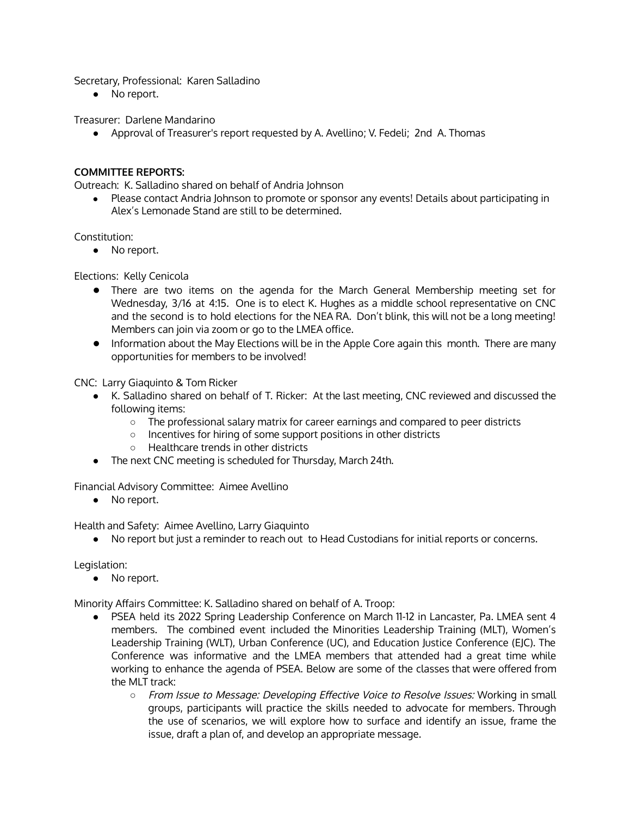Secretary, Professional: Karen Salladino

● No report.

Treasurer: Darlene Mandarino

● Approval of Treasurer's report requested by A. Avellino; V. Fedeli; 2nd A. Thomas

## **COMMITTEE REPORTS:**

Outreach: K. Salladino shared on behalf of Andria Johnson

● Please contact Andria Johnson to promote or sponsor any events! Details about participating in Alex's Lemonade Stand are still to be determined.

Constitution:

● No report.

Elections: Kelly Cenicola

- There are two items on the agenda for the March General Membership meeting set for Wednesday, 3/16 at 4:15. One is to elect K. Hughes as a middle school representative on CNC and the second is to hold elections for the NEA RA. Don't blink, this will not be a long meeting! Members can join via zoom or go to the LMEA office.
- Information about the May Elections will be in the Apple Core again this month. There are many opportunities for members to be involved!

CNC: Larry Giaquinto & Tom Ricker

- K. Salladino shared on behalf of T. Ricker: At the last meeting, CNC reviewed and discussed the following items:
	- The professional salary matrix for career earnings and compared to peer districts
	- Incentives for hiring of some support positions in other districts
	- Healthcare trends in other districts
- The next CNC meeting is scheduled for Thursday, March 24th.

Financial Advisory Committee: Aimee Avellino

● No report.

Health and Safety: Aimee Avellino, Larry Giaquinto

● No report but just a reminder to reach out to Head Custodians for initial reports or concerns.

Legislation:

● No report.

Minority Affairs Committee: K. Salladino shared on behalf of A. Troop:

- PSEA held its 2022 Spring Leadership Conference on March 11-12 in Lancaster, Pa. LMEA sent 4 members. The combined event included the Minorities Leadership Training (MLT), Women's Leadership Training (WLT), Urban Conference (UC), and Education Justice Conference (EJC). The Conference was informative and the LMEA members that attended had a great time while working to enhance the agenda of PSEA. Below are some of the classes that were offered from the MLT track:
	- From Issue to Message: Developing Effective Voice to Resolve Issues: Working in small groups, participants will practice the skills needed to advocate for members. Through the use of scenarios, we will explore how to surface and identify an issue, frame the issue, draft a plan of, and develop an appropriate message.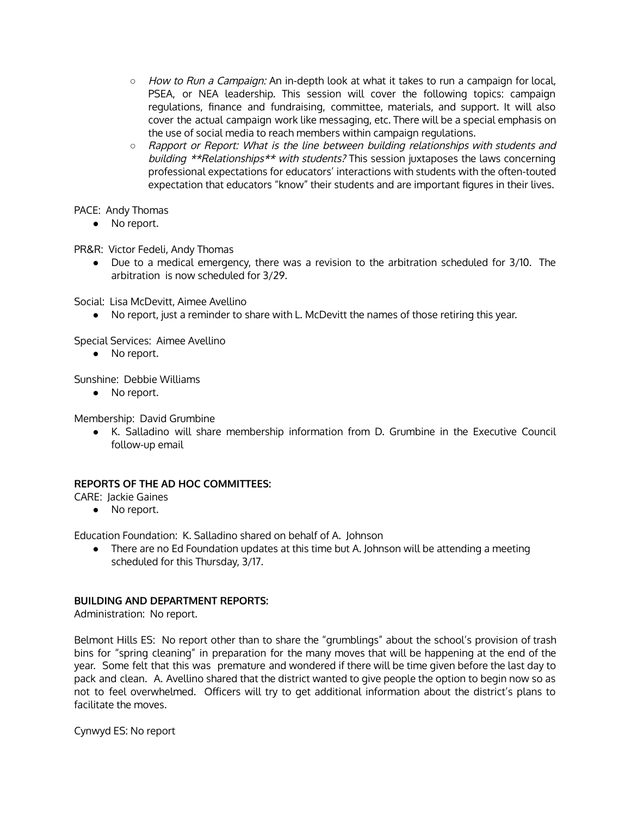- How to Run a Campaign: An in-depth look at what it takes to run a campaign for local, PSEA, or NEA leadership. This session will cover the following topics: campaign regulations, finance and fundraising, committee, materials, and support. It will also cover the actual campaign work like messaging, etc. There will be a special emphasis on the use of social media to reach members within campaign regulations.
- o Rapport or Report: What is the line between building relationships with students and building \*\*Relationships\*\* with students? This session juxtaposes the laws concerning professional expectations for educators' interactions with students with the often-touted expectation that educators "know" their students and are important figures in their lives.

PACE: Andy Thomas

● No report.

PR&R: Victor Fedeli, Andy Thomas

● Due to a medical emergency, there was a revision to the arbitration scheduled for 3/10. The arbitration is now scheduled for 3/29.

Social: Lisa McDevitt, Aimee Avellino

● No report, just a reminder to share with L. McDevitt the names of those retiring this year.

Special Services: Aimee Avellino

• No report.

Sunshine: Debbie Williams

• No report.

Membership: David Grumbine

● K. Salladino will share membership information from D. Grumbine in the Executive Council follow-up email

## **REPORTS OF THE AD HOC COMMITTEES:**

CARE: Jackie Gaines

● No report.

Education Foundation: K. Salladino shared on behalf of A. Johnson

● There are no Ed Foundation updates at this time but A. Johnson will be attending a meeting scheduled for this Thursday, 3/17.

### **BUILDING AND DEPARTMENT REPORTS:**

Administration: No report.

Belmont Hills ES: No report other than to share the "grumblings" about the school's provision of trash bins for "spring cleaning" in preparation for the many moves that will be happening at the end of the year. Some felt that this was premature and wondered if there will be time given before the last day to pack and clean. A. Avellino shared that the district wanted to give people the option to begin now so as not to feel overwhelmed. Officers will try to get additional information about the district's plans to facilitate the moves.

Cynwyd ES: No report